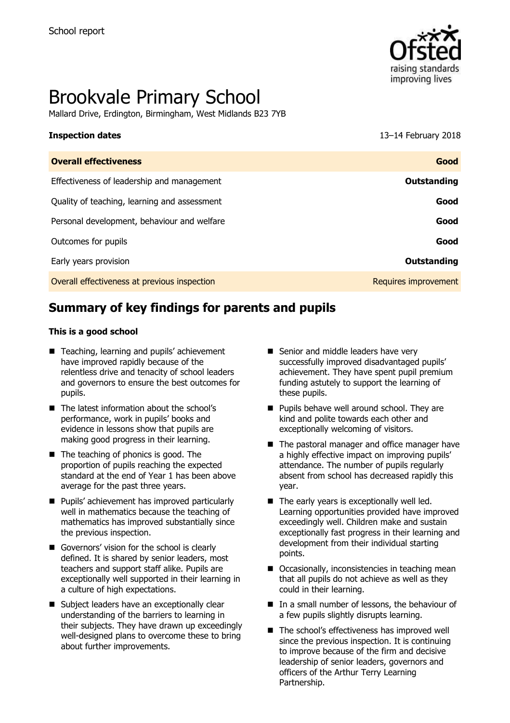

# Brookvale Primary School

Mallard Drive, Erdington, Birmingham, West Midlands B23 7YB

**Inspection dates** 13–14 February 2018

| <b>Overall effectiveness</b>                 | Good                 |
|----------------------------------------------|----------------------|
| Effectiveness of leadership and management   | <b>Outstanding</b>   |
| Quality of teaching, learning and assessment | Good                 |
| Personal development, behaviour and welfare  | Good                 |
| Outcomes for pupils                          | Good                 |
| Early years provision                        | <b>Outstanding</b>   |
| Overall effectiveness at previous inspection | Requires improvement |

# **Summary of key findings for parents and pupils**

#### **This is a good school**

- Teaching, learning and pupils' achievement have improved rapidly because of the relentless drive and tenacity of school leaders and governors to ensure the best outcomes for pupils.
- The latest information about the school's performance, work in pupils' books and evidence in lessons show that pupils are making good progress in their learning.
- $\blacksquare$  The teaching of phonics is good. The proportion of pupils reaching the expected standard at the end of Year 1 has been above average for the past three years.
- **Pupils' achievement has improved particularly** well in mathematics because the teaching of mathematics has improved substantially since the previous inspection.
- Governors' vision for the school is clearly defined. It is shared by senior leaders, most teachers and support staff alike. Pupils are exceptionally well supported in their learning in a culture of high expectations.
- Subject leaders have an exceptionally clear understanding of the barriers to learning in their subjects. They have drawn up exceedingly well-designed plans to overcome these to bring about further improvements.
- Senior and middle leaders have very successfully improved disadvantaged pupils' achievement. They have spent pupil premium funding astutely to support the learning of these pupils.
- **Pupils behave well around school. They are** kind and polite towards each other and exceptionally welcoming of visitors.
- The pastoral manager and office manager have a highly effective impact on improving pupils' attendance. The number of pupils regularly absent from school has decreased rapidly this year.
- $\blacksquare$  The early years is exceptionally well led. Learning opportunities provided have improved exceedingly well. Children make and sustain exceptionally fast progress in their learning and development from their individual starting points.
- Occasionally, inconsistencies in teaching mean that all pupils do not achieve as well as they could in their learning.
- $\blacksquare$  In a small number of lessons, the behaviour of a few pupils slightly disrupts learning.
- The school's effectiveness has improved well since the previous inspection. It is continuing to improve because of the firm and decisive leadership of senior leaders, governors and officers of the Arthur Terry Learning Partnership.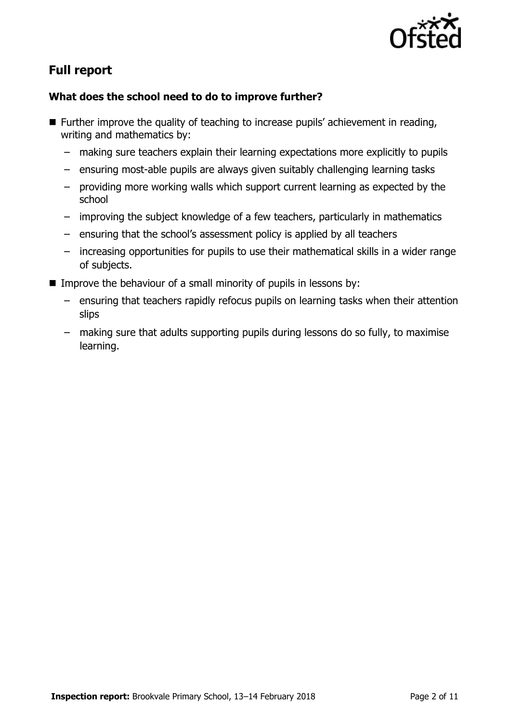

# **Full report**

### **What does the school need to do to improve further?**

- **Further improve the quality of teaching to increase pupils' achievement in reading,** writing and mathematics by:
	- making sure teachers explain their learning expectations more explicitly to pupils
	- ensuring most-able pupils are always given suitably challenging learning tasks
	- providing more working walls which support current learning as expected by the school
	- improving the subject knowledge of a few teachers, particularly in mathematics
	- ensuring that the school's assessment policy is applied by all teachers
	- increasing opportunities for pupils to use their mathematical skills in a wider range of subjects.
- Improve the behaviour of a small minority of pupils in lessons by:
	- ensuring that teachers rapidly refocus pupils on learning tasks when their attention slips
	- making sure that adults supporting pupils during lessons do so fully, to maximise learning.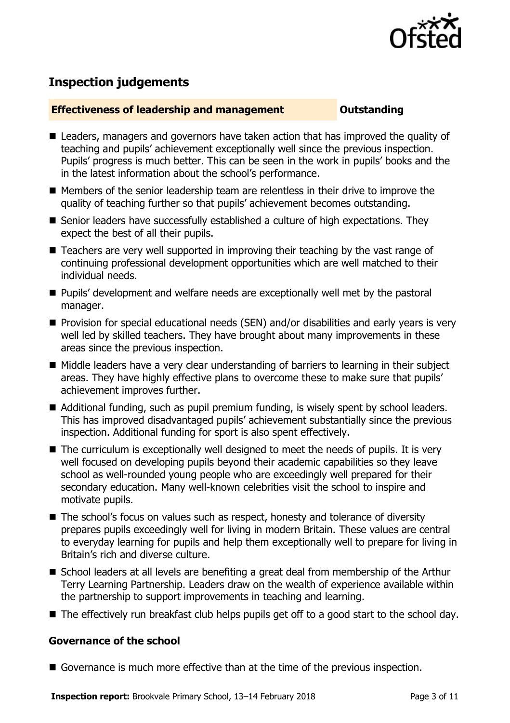

# **Inspection judgements**

#### **Effectiveness of leadership and management Cultum Outstanding**

- Leaders, managers and governors have taken action that has improved the quality of teaching and pupils' achievement exceptionally well since the previous inspection. Pupils' progress is much better. This can be seen in the work in pupils' books and the in the latest information about the school's performance.
- Members of the senior leadership team are relentless in their drive to improve the quality of teaching further so that pupils' achievement becomes outstanding.
- Senior leaders have successfully established a culture of high expectations. They expect the best of all their pupils.
- Teachers are very well supported in improving their teaching by the vast range of continuing professional development opportunities which are well matched to their individual needs.
- **Pupils' development and welfare needs are exceptionally well met by the pastoral** manager.
- **Provision for special educational needs (SEN) and/or disabilities and early years is very** well led by skilled teachers. They have brought about many improvements in these areas since the previous inspection.
- Middle leaders have a very clear understanding of barriers to learning in their subject areas. They have highly effective plans to overcome these to make sure that pupils' achievement improves further.
- Additional funding, such as pupil premium funding, is wisely spent by school leaders. This has improved disadvantaged pupils' achievement substantially since the previous inspection. Additional funding for sport is also spent effectively.
- The curriculum is exceptionally well designed to meet the needs of pupils. It is very well focused on developing pupils beyond their academic capabilities so they leave school as well-rounded young people who are exceedingly well prepared for their secondary education. Many well-known celebrities visit the school to inspire and motivate pupils.
- The school's focus on values such as respect, honesty and tolerance of diversity prepares pupils exceedingly well for living in modern Britain. These values are central to everyday learning for pupils and help them exceptionally well to prepare for living in Britain's rich and diverse culture.
- School leaders at all levels are benefiting a great deal from membership of the Arthur Terry Learning Partnership. Leaders draw on the wealth of experience available within the partnership to support improvements in teaching and learning.
- The effectively run breakfast club helps pupils get off to a good start to the school day.

#### **Governance of the school**

Governance is much more effective than at the time of the previous inspection.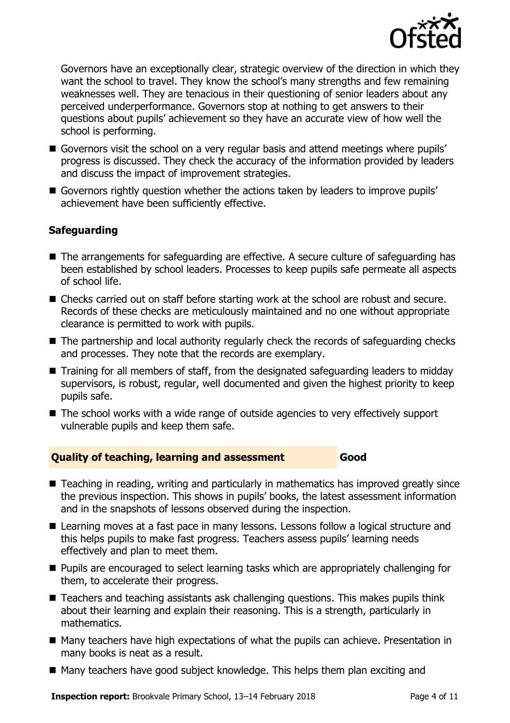

Governors have an exceptionally clear, strategic overview of the direction in which they want the school to travel. They know the school's many strengths and few remaining weaknesses well. They are tenacious in their questioning of senior leaders about any perceived underperformance. Governors stop at nothing to get answers to their questions about pupils' achievement so they have an accurate view of how well the school is performing.

- Governors visit the school on a very regular basis and attend meetings where pupils' progress is discussed. They check the accuracy of the information provided by leaders and discuss the impact of improvement strategies.
- Governors rightly question whether the actions taken by leaders to improve pupils' achievement have been sufficiently effective.

### **Safeguarding**

- The arrangements for safeguarding are effective. A secure culture of safeguarding has been established by school leaders. Processes to keep pupils safe permeate all aspects of school life.
- Checks carried out on staff before starting work at the school are robust and secure. Records of these checks are meticulously maintained and no one without appropriate clearance is permitted to work with pupils.
- The partnership and local authority regularly check the records of safeguarding checks and processes. They note that the records are exemplary.
- Training for all members of staff, from the designated safeguarding leaders to midday supervisors, is robust, regular, well documented and given the highest priority to keep pupils safe.
- The school works with a wide range of outside agencies to very effectively support vulnerable pupils and keep them safe.

#### **Quality of teaching, learning and assessment Good**

- Teaching in reading, writing and particularly in mathematics has improved greatly since the previous inspection. This shows in pupils' books, the latest assessment information and in the snapshots of lessons observed during the inspection.
- Learning moves at a fast pace in many lessons. Lessons follow a logical structure and this helps pupils to make fast progress. Teachers assess pupils' learning needs effectively and plan to meet them.
- Pupils are encouraged to select learning tasks which are appropriately challenging for them, to accelerate their progress.
- Teachers and teaching assistants ask challenging questions. This makes pupils think about their learning and explain their reasoning. This is a strength, particularly in mathematics.
- Many teachers have high expectations of what the pupils can achieve. Presentation in many books is neat as a result.
- Many teachers have good subject knowledge. This helps them plan exciting and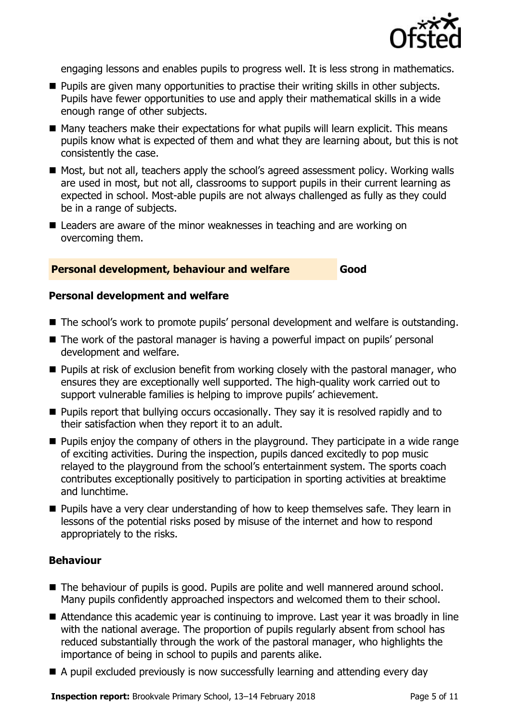

engaging lessons and enables pupils to progress well. It is less strong in mathematics.

- **Pupils are given many opportunities to practise their writing skills in other subjects.** Pupils have fewer opportunities to use and apply their mathematical skills in a wide enough range of other subjects.
- Many teachers make their expectations for what pupils will learn explicit. This means pupils know what is expected of them and what they are learning about, but this is not consistently the case.
- Most, but not all, teachers apply the school's agreed assessment policy. Working walls are used in most, but not all, classrooms to support pupils in their current learning as expected in school. Most-able pupils are not always challenged as fully as they could be in a range of subjects.
- Leaders are aware of the minor weaknesses in teaching and are working on overcoming them.

#### **Personal development, behaviour and welfare Good**

#### **Personal development and welfare**

- The school's work to promote pupils' personal development and welfare is outstanding.
- The work of the pastoral manager is having a powerful impact on pupils' personal development and welfare.
- **Pupils at risk of exclusion benefit from working closely with the pastoral manager, who** ensures they are exceptionally well supported. The high-quality work carried out to support vulnerable families is helping to improve pupils' achievement.
- **Pupils report that bullying occurs occasionally. They say it is resolved rapidly and to** their satisfaction when they report it to an adult.
- $\blacksquare$  Pupils enjoy the company of others in the playground. They participate in a wide range of exciting activities. During the inspection, pupils danced excitedly to pop music relayed to the playground from the school's entertainment system. The sports coach contributes exceptionally positively to participation in sporting activities at breaktime and lunchtime.
- **Pupils have a very clear understanding of how to keep themselves safe. They learn in** lessons of the potential risks posed by misuse of the internet and how to respond appropriately to the risks.

#### **Behaviour**

- The behaviour of pupils is good. Pupils are polite and well mannered around school. Many pupils confidently approached inspectors and welcomed them to their school.
- Attendance this academic year is continuing to improve. Last year it was broadly in line with the national average. The proportion of pupils regularly absent from school has reduced substantially through the work of the pastoral manager, who highlights the importance of being in school to pupils and parents alike.
- A pupil excluded previously is now successfully learning and attending every day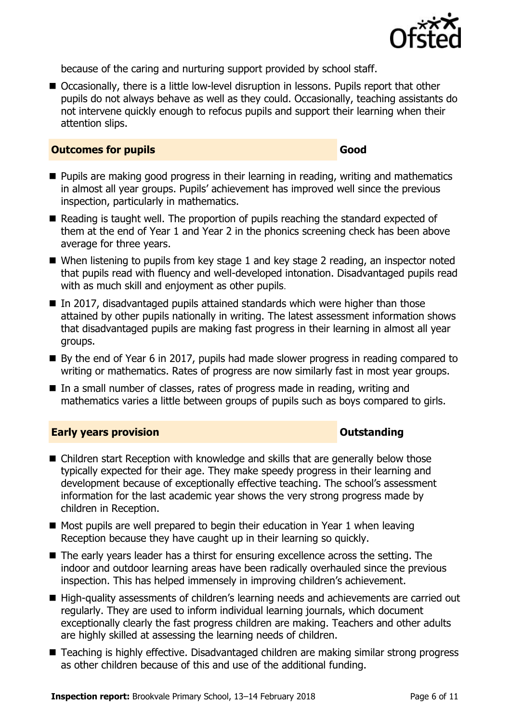

because of the caring and nurturing support provided by school staff.

■ Occasionally, there is a little low-level disruption in lessons. Pupils report that other pupils do not always behave as well as they could. Occasionally, teaching assistants do not intervene quickly enough to refocus pupils and support their learning when their attention slips.

#### **Outcomes for pupils Good**

- **Pupils are making good progress in their learning in reading, writing and mathematics** in almost all year groups. Pupils' achievement has improved well since the previous inspection, particularly in mathematics.
- Reading is taught well. The proportion of pupils reaching the standard expected of them at the end of Year 1 and Year 2 in the phonics screening check has been above average for three years.
- When listening to pupils from key stage 1 and key stage 2 reading, an inspector noted that pupils read with fluency and well-developed intonation. Disadvantaged pupils read with as much skill and enjoyment as other pupils.
- In 2017, disadvantaged pupils attained standards which were higher than those attained by other pupils nationally in writing. The latest assessment information shows that disadvantaged pupils are making fast progress in their learning in almost all year groups.
- By the end of Year 6 in 2017, pupils had made slower progress in reading compared to writing or mathematics. Rates of progress are now similarly fast in most year groups.
- In a small number of classes, rates of progress made in reading, writing and mathematics varies a little between groups of pupils such as boys compared to girls.

### **Early years provision CONSTANDING TO A RESEARCH CONSTANDING TO A RESEARCH CONSTANDING TO A RESEARCH CONSTANDING TO A RESEARCH CONSTANDING TO A RESEARCH CONSTANDING TO A RESEARCH CONSTANDING TO A RESEARCH CONSTANDING TO**

- Children start Reception with knowledge and skills that are generally below those typically expected for their age. They make speedy progress in their learning and development because of exceptionally effective teaching. The school's assessment information for the last academic year shows the very strong progress made by children in Reception.
- $\blacksquare$  Most pupils are well prepared to begin their education in Year 1 when leaving Reception because they have caught up in their learning so quickly.
- The early years leader has a thirst for ensuring excellence across the setting. The indoor and outdoor learning areas have been radically overhauled since the previous inspection. This has helped immensely in improving children's achievement.
- High-quality assessments of children's learning needs and achievements are carried out regularly. They are used to inform individual learning journals, which document exceptionally clearly the fast progress children are making. Teachers and other adults are highly skilled at assessing the learning needs of children.
- Teaching is highly effective. Disadvantaged children are making similar strong progress as other children because of this and use of the additional funding.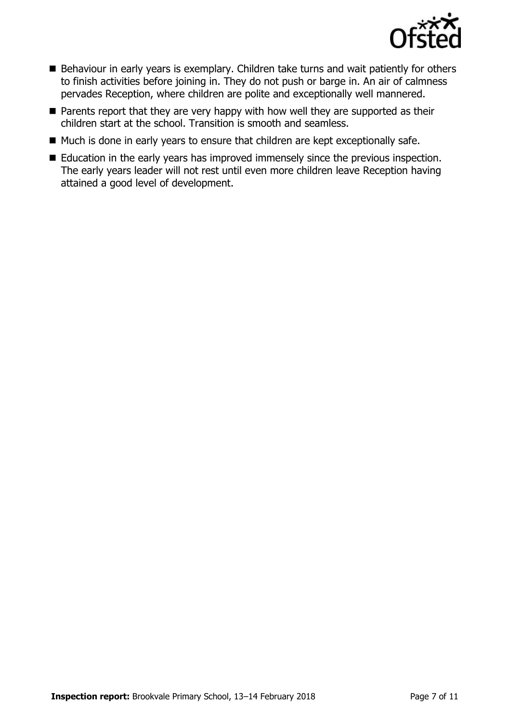

- Behaviour in early years is exemplary. Children take turns and wait patiently for others to finish activities before joining in. They do not push or barge in. An air of calmness pervades Reception, where children are polite and exceptionally well mannered.
- $\blacksquare$  Parents report that they are very happy with how well they are supported as their children start at the school. Transition is smooth and seamless.
- Much is done in early years to ensure that children are kept exceptionally safe.
- Education in the early years has improved immensely since the previous inspection. The early years leader will not rest until even more children leave Reception having attained a good level of development.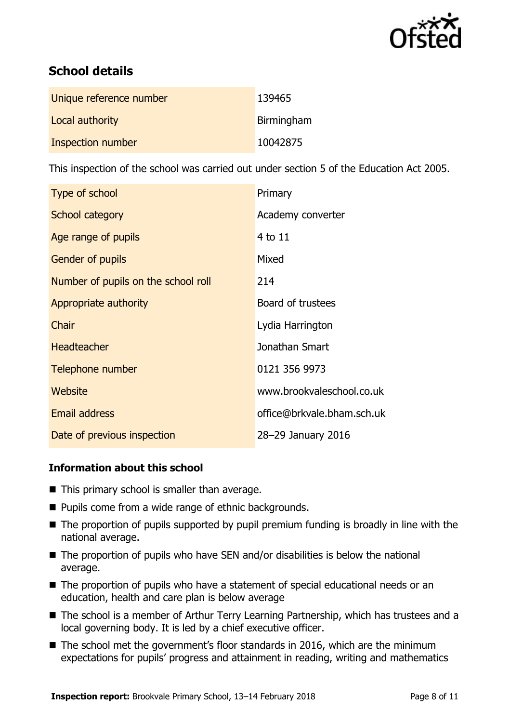

# **School details**

| Unique reference number | 139465     |
|-------------------------|------------|
| Local authority         | Birmingham |
| Inspection number       | 10042875   |

This inspection of the school was carried out under section 5 of the Education Act 2005.

| Type of school                      | Primary                    |
|-------------------------------------|----------------------------|
| School category                     | Academy converter          |
| Age range of pupils                 | 4 to 11                    |
| Gender of pupils                    | Mixed                      |
| Number of pupils on the school roll | 214                        |
| Appropriate authority               | Board of trustees          |
| Chair                               | Lydia Harrington           |
| <b>Headteacher</b>                  | Jonathan Smart             |
| Telephone number                    | 0121 356 9973              |
| Website                             | www.brookvaleschool.co.uk  |
| <b>Email address</b>                | office@brkvale.bham.sch.uk |
| Date of previous inspection         | 28-29 January 2016         |

### **Information about this school**

- $\blacksquare$  This primary school is smaller than average.
- Pupils come from a wide range of ethnic backgrounds.
- The proportion of pupils supported by pupil premium funding is broadly in line with the national average.
- $\blacksquare$  The proportion of pupils who have SEN and/or disabilities is below the national average.
- The proportion of pupils who have a statement of special educational needs or an education, health and care plan is below average
- The school is a member of Arthur Terry Learning Partnership, which has trustees and a local governing body. It is led by a chief executive officer.
- The school met the government's floor standards in 2016, which are the minimum expectations for pupils' progress and attainment in reading, writing and mathematics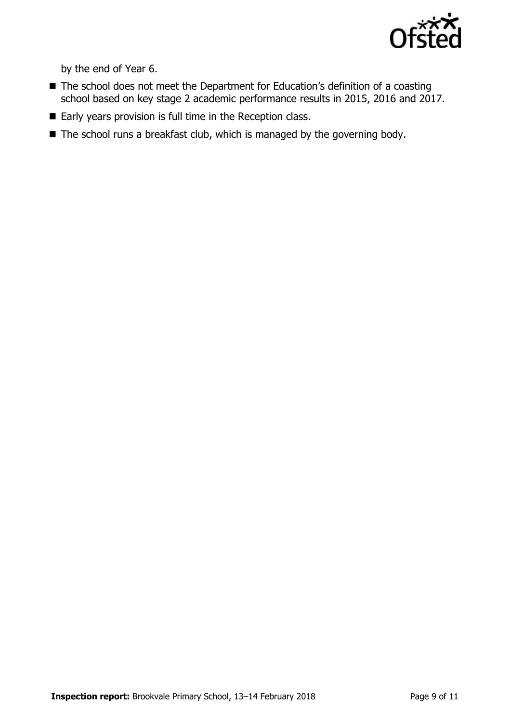

by the end of Year 6.

- The school does not meet the Department for Education's definition of a coasting school based on key stage 2 academic performance results in 2015, 2016 and 2017.
- Early years provision is full time in the Reception class.
- The school runs a breakfast club, which is managed by the governing body.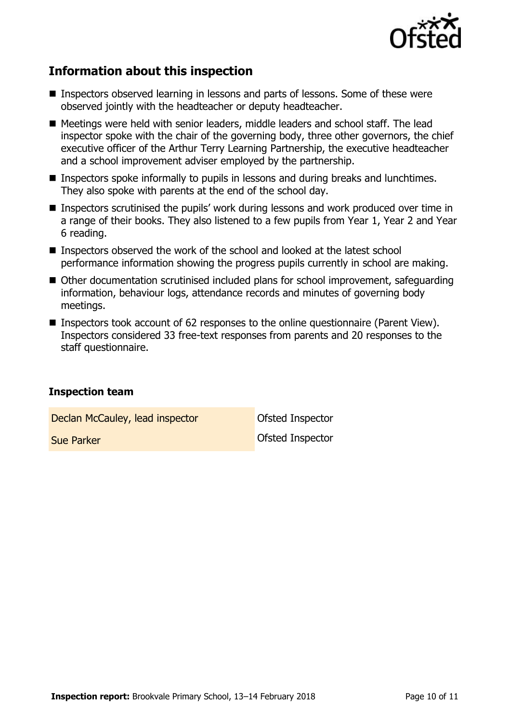

## **Information about this inspection**

- Inspectors observed learning in lessons and parts of lessons. Some of these were observed jointly with the headteacher or deputy headteacher.
- Meetings were held with senior leaders, middle leaders and school staff. The lead inspector spoke with the chair of the governing body, three other governors, the chief executive officer of the Arthur Terry Learning Partnership, the executive headteacher and a school improvement adviser employed by the partnership.
- Inspectors spoke informally to pupils in lessons and during breaks and lunchtimes. They also spoke with parents at the end of the school day.
- Inspectors scrutinised the pupils' work during lessons and work produced over time in a range of their books. They also listened to a few pupils from Year 1, Year 2 and Year 6 reading.
- Inspectors observed the work of the school and looked at the latest school performance information showing the progress pupils currently in school are making.
- Other documentation scrutinised included plans for school improvement, safeguarding information, behaviour logs, attendance records and minutes of governing body meetings.
- Inspectors took account of 62 responses to the online questionnaire (Parent View). Inspectors considered 33 free-text responses from parents and 20 responses to the staff questionnaire.

#### **Inspection team**

Declan McCauley, lead inspector **Declan Inspector** 

**Sue Parker Construction Construction Construction Construction Construction Construction Construction Construction**